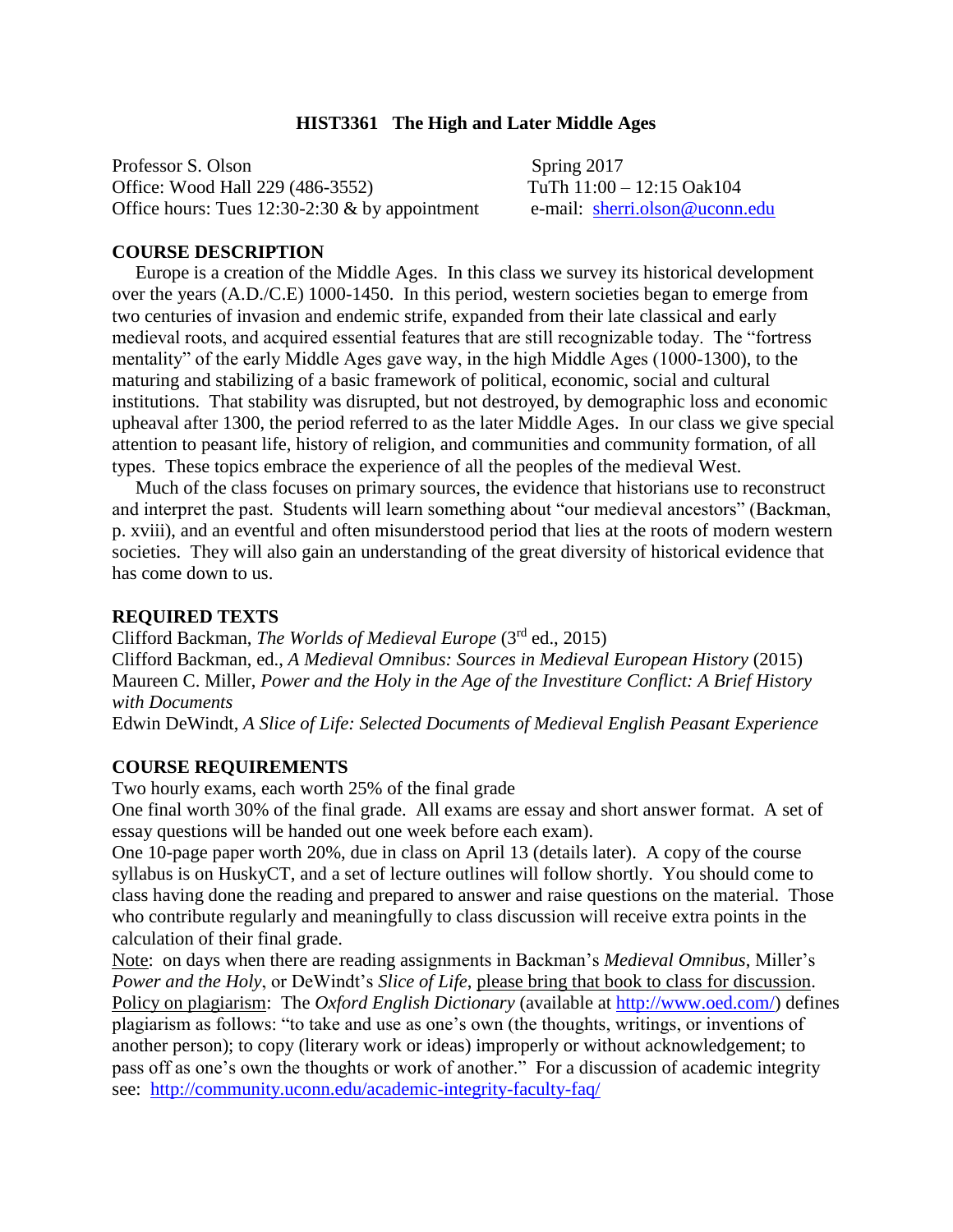# **HIST3361 The High and Later Middle Ages**

Professor S. Olson Spring 2017 Office: Wood Hall 229 (486-3552) TuTh 11:00 – 12:15 Oak104 Office hours: Tues 12:30-2:30 & by appointment e-mail: [sherri.olson@uconn.edu](mailto:sherri.olson@uconn.edu)

## **COURSE DESCRIPTION**

 Europe is a creation of the Middle Ages. In this class we survey its historical development over the years (A.D./C.E) 1000-1450. In this period, western societies began to emerge from two centuries of invasion and endemic strife, expanded from their late classical and early medieval roots, and acquired essential features that are still recognizable today. The "fortress mentality" of the early Middle Ages gave way, in the high Middle Ages (1000-1300), to the maturing and stabilizing of a basic framework of political, economic, social and cultural institutions. That stability was disrupted, but not destroyed, by demographic loss and economic upheaval after 1300, the period referred to as the later Middle Ages. In our class we give special attention to peasant life, history of religion, and communities and community formation, of all types. These topics embrace the experience of all the peoples of the medieval West.

 Much of the class focuses on primary sources, the evidence that historians use to reconstruct and interpret the past. Students will learn something about "our medieval ancestors" (Backman, p. xviii), and an eventful and often misunderstood period that lies at the roots of modern western societies. They will also gain an understanding of the great diversity of historical evidence that has come down to us.

## **REQUIRED TEXTS**

Clifford Backman, *The Worlds of Medieval Europe* (3rd ed., 2015) Clifford Backman, ed., *A Medieval Omnibus: Sources in Medieval European History* (2015) Maureen C. Miller, *Power and the Holy in the Age of the Investiture Conflict: A Brief History with Documents*

Edwin DeWindt, *A Slice of Life: Selected Documents of Medieval English Peasant Experience* 

## **COURSE REQUIREMENTS**

Two hourly exams, each worth 25% of the final grade

One final worth 30% of the final grade. All exams are essay and short answer format. A set of essay questions will be handed out one week before each exam).

One 10-page paper worth 20%, due in class on April 13 (details later). A copy of the course syllabus is on HuskyCT, and a set of lecture outlines will follow shortly. You should come to class having done the reading and prepared to answer and raise questions on the material. Those who contribute regularly and meaningfully to class discussion will receive extra points in the calculation of their final grade.

Note: on days when there are reading assignments in Backman's *Medieval Omnibus*, Miller's *Power and the Holy*, or DeWindt's *Slice of Life*, please bring that book to class for discussion. Policy on plagiarism: The *Oxford English Dictionary* (available at [http://www.oed.com/\)](http://www.oed.com/) defines plagiarism as follows: "to take and use as one's own (the thoughts, writings, or inventions of another person); to copy (literary work or ideas) improperly or without acknowledgement; to pass off as one's own the thoughts or work of another." For a discussion of academic integrity see: <http://community.uconn.edu/academic-integrity-faculty-faq/>